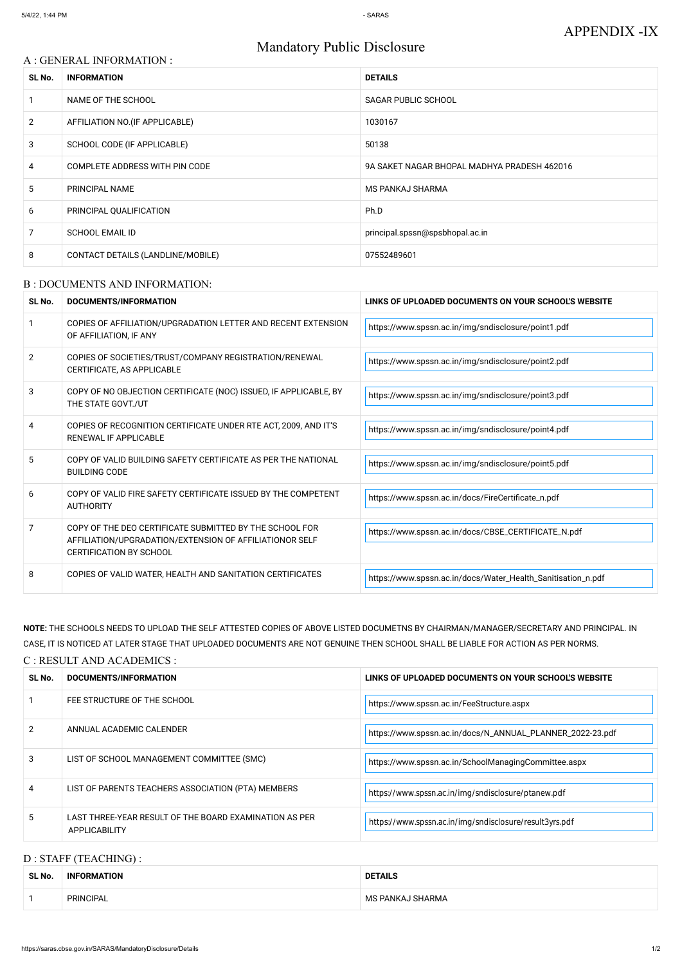# Mandatory Public Disclosure

## A : GENERAL INFORMATION :

| SL No.         | <b>INFORMATION</b>                | <b>DETAILS</b>                              |  |
|----------------|-----------------------------------|---------------------------------------------|--|
|                | NAME OF THE SCHOOL                | <b>SAGAR PUBLIC SCHOOL</b>                  |  |
| $\overline{2}$ | AFFILIATION NO. (IF APPLICABLE)   | 1030167                                     |  |
| 3              | SCHOOL CODE (IF APPLICABLE)       | 50138                                       |  |
| 4              | COMPLETE ADDRESS WITH PIN CODE    | 9A SAKET NAGAR BHOPAL MADHYA PRADESH 462016 |  |
| 5              | PRINCIPAL NAME                    | <b>MS PANKAJ SHARMA</b>                     |  |
| 6              | PRINCIPAL QUALIFICATION           | Ph.D                                        |  |
| 7              | <b>SCHOOL EMAIL ID</b>            | principal.spssn@spsbhopal.ac.in             |  |
| 8              | CONTACT DETAILS (LANDLINE/MOBILE) | 07552489601                                 |  |

#### B : DOCUMENTS AND INFORMATION:

| SL No.         | DOCUMENTS/INFORMATION                                                                                                                                | LINKS OF UPLOADED DOCUMENTS ON YOUR SCHOOL'S WEBSITE         |  |
|----------------|------------------------------------------------------------------------------------------------------------------------------------------------------|--------------------------------------------------------------|--|
|                | COPIES OF AFFILIATION/UPGRADATION LETTER AND RECENT EXTENSION<br>OF AFFILIATION, IF ANY                                                              | https://www.spssn.ac.in/img/sndisclosure/point1.pdf          |  |
| $\overline{2}$ | COPIES OF SOCIETIES/TRUST/COMPANY REGISTRATION/RENEWAL<br>CERTIFICATE, AS APPLICABLE                                                                 | https://www.spssn.ac.in/img/sndisclosure/point2.pdf          |  |
| 3              | COPY OF NO OBJECTION CERTIFICATE (NOC) ISSUED, IF APPLICABLE, BY<br>THE STATE GOVT./UT                                                               | https://www.spssn.ac.in/img/sndisclosure/point3.pdf          |  |
| 4              | COPIES OF RECOGNITION CERTIFICATE UNDER RTE ACT, 2009, AND IT'S<br>RENEWAL IF APPLICABLE                                                             | https://www.spssn.ac.in/img/sndisclosure/point4.pdf          |  |
| 5              | COPY OF VALID BUILDING SAFETY CERTIFICATE AS PER THE NATIONAL<br><b>BUILDING CODE</b>                                                                | https://www.spssn.ac.in/img/sndisclosure/point5.pdf          |  |
| 6              | COPY OF VALID FIRE SAFETY CERTIFICATE ISSUED BY THE COMPETENT<br><b>AUTHORITY</b>                                                                    | https://www.spssn.ac.in/docs/FireCertificate_n.pdf           |  |
| 7              | COPY OF THE DEO CERTIFICATE SUBMITTED BY THE SCHOOL FOR<br>AFFILIATION/UPGRADATION/EXTENSION OF AFFILIATIONOR SELF<br><b>CERTIFICATION BY SCHOOL</b> | https://www.spssn.ac.in/docs/CBSE_CERTIFICATE_N.pdf          |  |
| 8              | COPIES OF VALID WATER, HEALTH AND SANITATION CERTIFICATES                                                                                            | https://www.spssn.ac.in/docs/Water_Health_Sanitisation_n.pdf |  |

**NOTE:** THE SCHOOLS NEEDS TO UPLOAD THE SELF ATTESTED COPIES OF ABOVE LISTED DOCUMETNS BY CHAIRMAN/MANAGER/SECRETARY AND PRINCIPAL. IN CASE, IT IS NOTICED AT LATER STAGE THAT UPLOADED DOCUMENTS ARE NOT GENUINE THEN SCHOOL SHALL BE LIABLE FOR ACTION AS PER NORMS.

### C : RESULT AND ACADEMICS :

| SL No. | DOCUMENTS/INFORMATION                                                   | LINKS OF UPLOADED DOCUMENTS ON YOUR SCHOOL'S WEBSITE      |
|--------|-------------------------------------------------------------------------|-----------------------------------------------------------|
|        | FEE STRUCTURE OF THE SCHOOL                                             | https://www.spssn.ac.in/FeeStructure.aspx                 |
|        | ANNUAL ACADEMIC CALENDER                                                | https://www.spssn.ac.in/docs/N_ANNUAL_PLANNER_2022-23.pdf |
| 3      | LIST OF SCHOOL MANAGEMENT COMMITTEE (SMC)                               | https://www.spssn.ac.in/SchoolManagingCommittee.aspx      |
| 4      | LIST OF PARENTS TEACHERS ASSOCIATION (PTA) MEMBERS                      | https://www.spssn.ac.in/img/sndisclosure/ptanew.pdf       |
| 5.     | LAST THREE-YEAR RESULT OF THE BOARD EXAMINATION AS PER<br>APPLICABILITY | https://www.spssn.ac.in/img/sndisclosure/result3yrs.pdf   |

# D : STAFF (TEACHING) :

| SL No. | <b>INFORMATION</b> | <b>DETAILS</b>   |  |
|--------|--------------------|------------------|--|
|        | <b>PRINCIPAL</b>   | MS PANKAJ SHARMA |  |